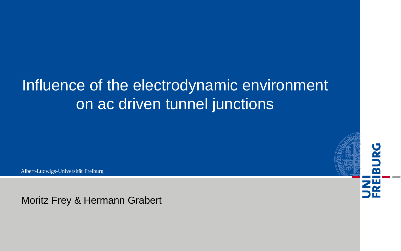# Influence of the electrodynamic environment on ac driven tunnel junctions

Albert-Ludwigs-Universität Freiburg

Moritz Frey & Hermann Grabert

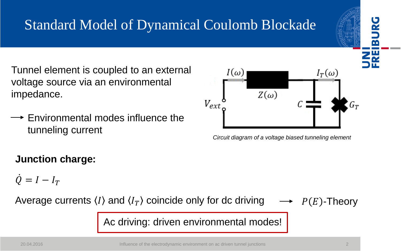# Standard Model of Dynamical Coulomb Blockade

Tunnel element is coupled to an external voltage source via an environmental impedance.

 $\rightarrow$  Environmental modes influence the tunneling current

### **Junction charge:**

 $\dot{Q} = I - I_T$ 



Ac driving: driven environmental modes!





*Circuit diagram of a voltage biased tunneling element*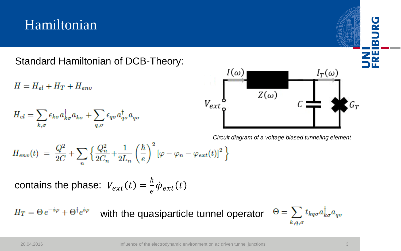## Hamiltonian

Standard Hamiltonian of DCB-Theory:

 $H = H_{el} + H_T + H_{env}$ 

$$
H_{el}=\sum_{k,\sigma}\epsilon_{k\sigma}a_{k\sigma}^{\dagger}a_{k\sigma}+\sum_{q,\sigma}\epsilon_{q\sigma}a_{q\sigma}^{\dagger}a_{q\sigma}
$$



*Circuit diagram of a voltage biased tunneling element*

$$
H_{env}(t) = \frac{Q^2}{2C} + \sum_{n} \left\{ \frac{Q_n^2}{2C_n} + \frac{1}{2L_n} \left(\frac{\hbar}{e}\right)^2 \left[\varphi - \varphi_n - \varphi_{ext}(t)\right]^2 \right\}
$$

contains the phase:  $V_{ext}(t) = \frac{\hbar}{e}$  $\frac{\pi}{e} \dot{\varphi}_{ext}(t)$ 

 $H_T = \Theta e^{-i\varphi} + \Theta^{\dagger} e^{i\varphi}$ with the quasiparticle tunnel operator Э

$$
\theta = \sum_{k,q,\sigma} t_{kq\sigma} a_{k\sigma}^{\dagger} a_{q\sigma}
$$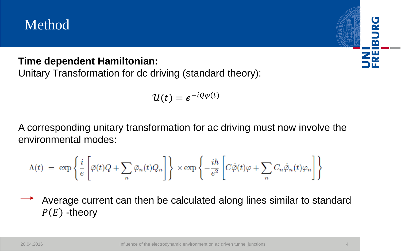## Method

### **Time dependent Hamiltonian:**

Unitary Transformation for dc driving (standard theory):

$$
\mathcal{U}(t) = e^{-iQ\varphi(t)}
$$

A corresponding unitary transformation for ac driving must now involve the environmental modes:

$$
\Lambda(t) \ = \ \exp \left\{ {i\over e} \left[ \bar{\varphi}(t) Q + \sum_n \bar{\varphi}_n(t) Q_n \right] \right\} \ \times \exp \left\{ - {i\hbar\over e^2} \left[ C \dot{\bar{\varphi}}(t) \varphi + \sum_n C_n \dot{\bar{\varphi}}_n(t) \varphi_n \right] \right\}
$$

Average current can then be calculated along lines similar to standard  $P(E)$ -theory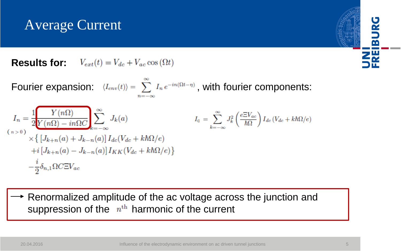## Average Current

**Results for:**  $V_{ext}(t) = V_{dc} + V_{ac} \cos{(\Omega t)}$ 

Fourier expansion:  $\langle I_{env}(t) \rangle = \sum_{n} I_n e^{-in(\Omega t - \eta)}$ , with fourier components:  $I_n = \frac{1}{2} \frac{Y(n\Omega)}{Y(n\Omega) - in\Omega C} \sum_{k=-\infty}^{\infty} J_k(a)$  $I_0 = \sum_{k=-\infty}^{\infty} J_k^2 \left( \frac{e \Xi V_{ac}}{\hbar \Omega} \right) I_{dc} \left( V_{dc} + k \hbar \Omega / e \right)$  $\times \left\{ \left[ J_{k+n}(a) + J_{k-n}(a) \right] I_{dc}(V_{dc} + k\hbar\Omega/e) \right\}$  $+i[J_{k+n}(a) - J_{k-n}(a)]I_{KK}(V_{dc} + k\hbar\Omega/e)$  $-\frac{i}{2}\delta_{n,1}\Omega C\Xi V_{ac}$ 

Renormalized amplitude of the ac voltage across the junction and suppression of the  $n<sup>th</sup>$  harmonic of the current

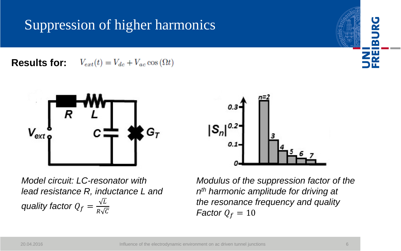## Suppression of higher harmonics

**Results for:**  $V_{ext}(t) = V_{dc} + V_{ac} \cos{(\Omega t)}$ 



*Model circuit: LC-resonator with lead resistance R, inductance L and quality factor*  $Q_f = \frac{\sqrt{L}}{R\sqrt{L}}$  $R\sqrt{C}$ 

*Modulus of the suppression factor of the n th harmonic amplitude for driving at the resonance frequency and quality Factor*  $Q_f = 10$ 

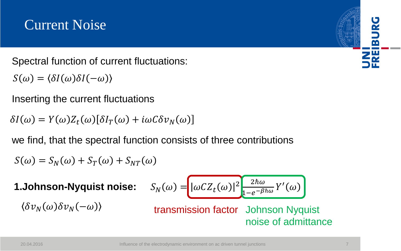## Current Noise

Spectral function of current fluctuations:

 $S(\omega) = \langle \delta I(\omega) \delta I(-\omega) \rangle$ 

Inserting the current fluctuations

 $\delta I(\omega) = Y(\omega)Z_t(\omega)[\delta I_T(\omega) + i\omega C \delta v_N(\omega)]$ 

we find, that the spectral function consists of three contributions

$$
S(\omega) = S_N(\omega) + S_T(\omega) + S_{NT}(\omega)
$$

**1.Johnson-Nyquist noise:**  $\langle \delta v_N(\omega) \delta v_N(-\omega) \rangle$ 

$$
S_N(\omega) = \left[ |\omega C Z_t(\omega)|^2 \frac{2\hbar\omega}{1 - e^{-\beta\hbar\omega}} Y'(\omega) \right]
$$

transmission factor Johnson Nyquist noise of admittance

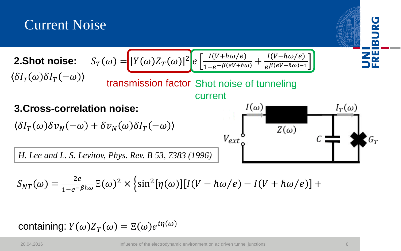

$$
S_{NT}(\omega) = \frac{2e}{1 - e^{-\beta \hbar \omega}} \Xi(\omega)^2 \times \left\{ \sin^2[\eta(\omega)][I(V - \hbar \omega/e) - I(V + \hbar \omega/e)] + \right.
$$

containing:  $Y(\omega)Z_T(\omega) = \Xi(\omega)e^{i\eta(\omega)}$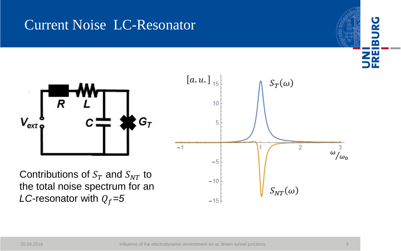## Current Noise LC-Resonator



 $V_{ext}$ 

o`a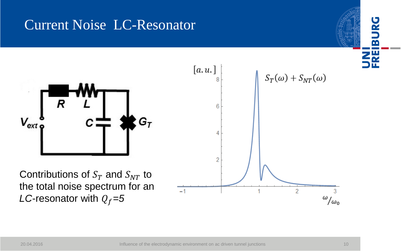## Current Noise LC-Resonator